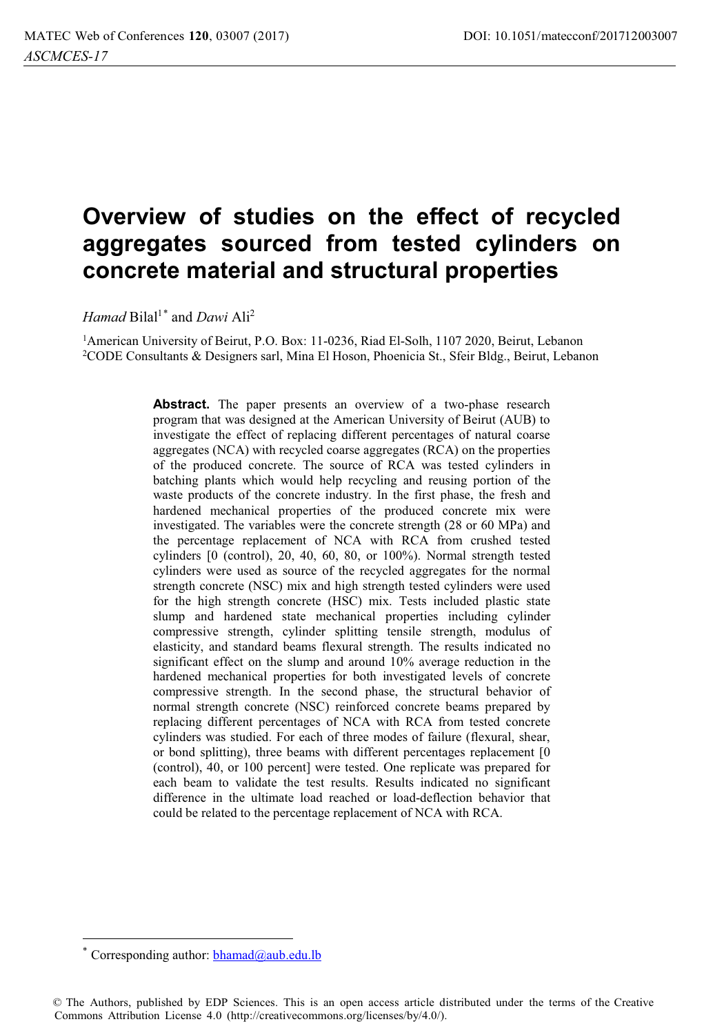# **Overview of studies on the effect of recycled aggregates sourced from tested cylinders on concrete material and structural properties**

*Hamad* Bilal<sup>1\*</sup> and *Dawi* Ali<sup>2</sup>

<sup>1</sup>American University of Beirut, P.O. Box: 11-0236, Riad El-Solh, 1107 2020, Beirut, Lebanon 2 CODE Consultants & Designers sarl, Mina El Hoson, Phoenicia St., Sfeir Bldg., Beirut, Lebanon

> **Abstract.** The paper presents an overview of a two-phase research program that was designed at the American University of Beirut (AUB) to investigate the effect of replacing different percentages of natural coarse aggregates (NCA) with recycled coarse aggregates (RCA) on the properties of the produced concrete. The source of RCA was tested cylinders in batching plants which would help recycling and reusing portion of the waste products of the concrete industry. In the first phase, the fresh and hardened mechanical properties of the produced concrete mix were investigated. The variables were the concrete strength (28 or 60 MPa) and the percentage replacement of NCA with RCA from crushed tested cylinders [0 (control), 20, 40, 60, 80, or 100%). Normal strength tested cylinders were used as source of the recycled aggregates for the normal strength concrete (NSC) mix and high strength tested cylinders were used for the high strength concrete (HSC) mix. Tests included plastic state slump and hardened state mechanical properties including cylinder compressive strength, cylinder splitting tensile strength, modulus of elasticity, and standard beams flexural strength. The results indicated no significant effect on the slump and around 10% average reduction in the hardened mechanical properties for both investigated levels of concrete compressive strength. In the second phase, the structural behavior of normal strength concrete (NSC) reinforced concrete beams prepared by replacing different percentages of NCA with RCA from tested concrete cylinders was studied. For each of three modes of failure (flexural, shear, or bond splitting), three beams with different percentages replacement [0 (control), 40, or 100 percent] were tested. One replicate was prepared for each beam to validate the test results. Results indicated no significant difference in the ultimate load reached or load-deflection behavior that could be related to the percentage replacement of NCA with RCA.

Corresponding author:  $bhamad@aub.edu.lb$ 

<sup>©</sup> The Authors, published by EDP Sciences. This is an open access article distributed under the terms of the Creative Commons Attribution License 4.0 (http://creativecommons.org/licenses/by/4.0/).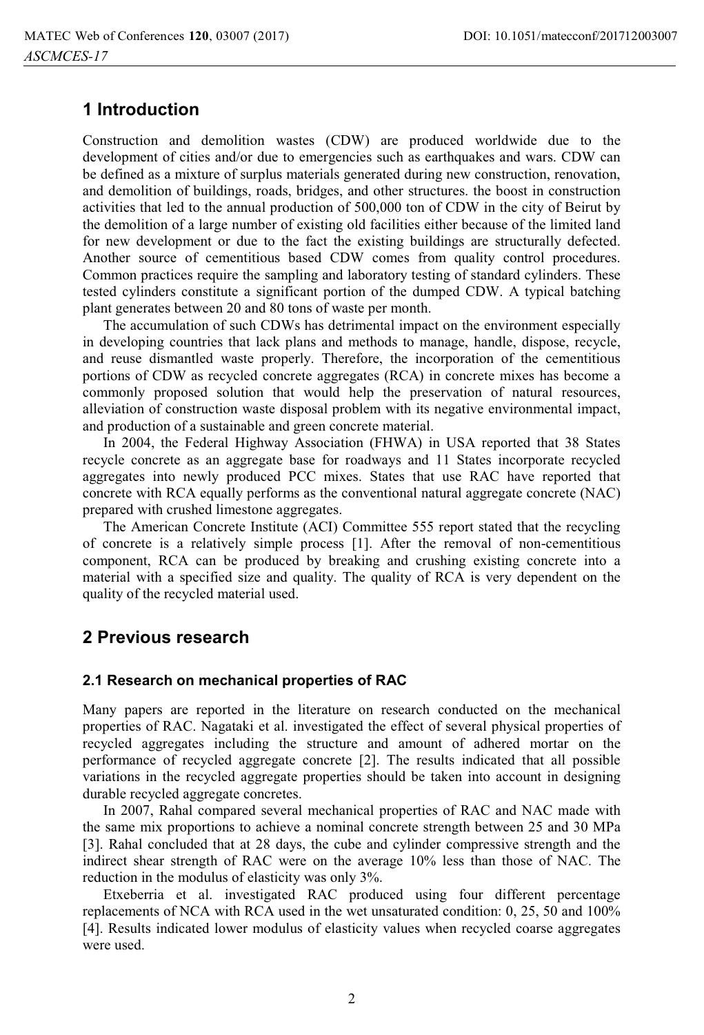# **1 Introduction**

Construction and demolition wastes (CDW) are produced worldwide due to the development of cities and/or due to emergencies such as earthquakes and wars. CDW can be defined as a mixture of surplus materials generated during new construction, renovation, and demolition of buildings, roads, bridges, and other structures. the boost in construction activities that led to the annual production of 500,000 ton of CDW in the city of Beirut by the demolition of a large number of existing old facilities either because of the limited land for new development or due to the fact the existing buildings are structurally defected. Another source of cementitious based CDW comes from quality control procedures. Common practices require the sampling and laboratory testing of standard cylinders. These tested cylinders constitute a significant portion of the dumped CDW. A typical batching plant generates between 20 and 80 tons of waste per month.

The accumulation of such CDWs has detrimental impact on the environment especially in developing countries that lack plans and methods to manage, handle, dispose, recycle, and reuse dismantled waste properly. Therefore, the incorporation of the cementitious portions of CDW as recycled concrete aggregates (RCA) in concrete mixes has become a commonly proposed solution that would help the preservation of natural resources, alleviation of construction waste disposal problem with its negative environmental impact, and production of a sustainable and green concrete material.

In 2004, the Federal Highway Association (FHWA) in USA reported that 38 States recycle concrete as an aggregate base for roadways and 11 States incorporate recycled aggregates into newly produced PCC mixes. States that use RAC have reported that concrete with RCA equally performs as the conventional natural aggregate concrete (NAC) prepared with crushed limestone aggregates.

The American Concrete Institute (ACI) Committee 555 report stated that the recycling of concrete is a relatively simple process [1]. After the removal of non-cementitious component, RCA can be produced by breaking and crushing existing concrete into a material with a specified size and quality. The quality of RCA is very dependent on the quality of the recycled material used.

## **2 Previous research**

#### **2.1 Research on mechanical properties of RAC**

Many papers are reported in the literature on research conducted on the mechanical properties of RAC. Nagataki et al. investigated the effect of several physical properties of recycled aggregates including the structure and amount of adhered mortar on the performance of recycled aggregate concrete [2]. The results indicated that all possible variations in the recycled aggregate properties should be taken into account in designing durable recycled aggregate concretes.

In 2007, Rahal compared several mechanical properties of RAC and NAC made with the same mix proportions to achieve a nominal concrete strength between 25 and 30 MPa [3]. Rahal concluded that at 28 days, the cube and cylinder compressive strength and the indirect shear strength of RAC were on the average 10% less than those of NAC. The reduction in the modulus of elasticity was only 3%.

Etxeberria et al. investigated RAC produced using four different percentage replacements of NCA with RCA used in the wet unsaturated condition: 0, 25, 50 and 100% [4]. Results indicated lower modulus of elasticity values when recycled coarse aggregates were used.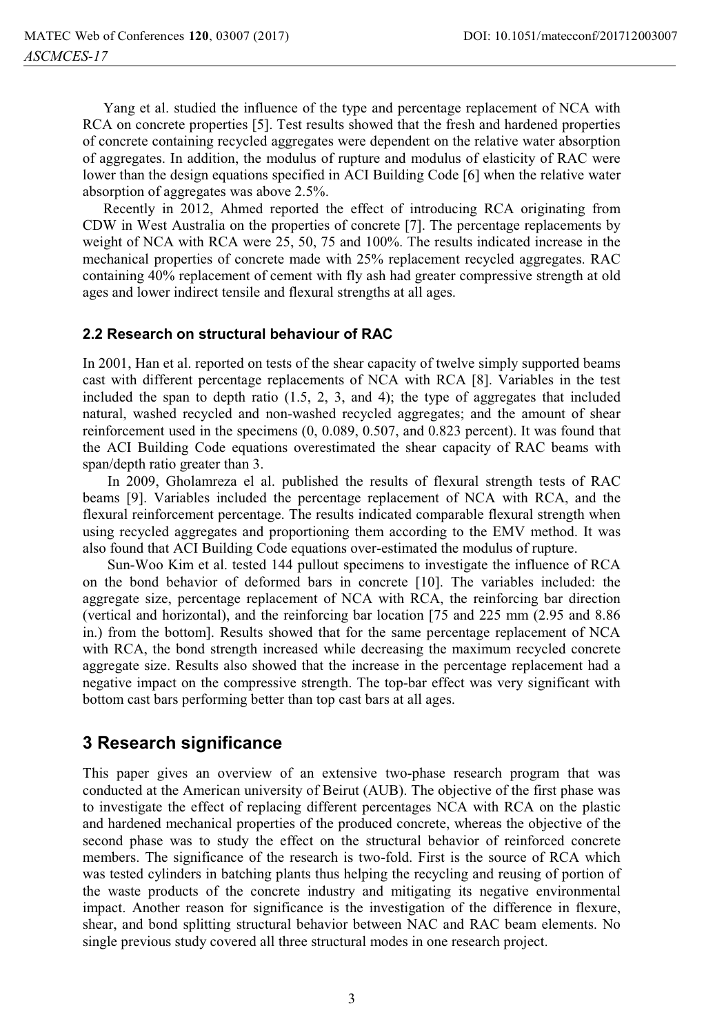Yang et al. studied the influence of the type and percentage replacement of NCA with RCA on concrete properties [5]. Test results showed that the fresh and hardened properties of concrete containing recycled aggregates were dependent on the relative water absorption of aggregates. In addition, the modulus of rupture and modulus of elasticity of RAC were lower than the design equations specified in ACI Building Code [6] when the relative water absorption of aggregates was above 2.5%.

Recently in 2012, Ahmed reported the effect of introducing RCA originating from CDW in West Australia on the properties of concrete [7]. The percentage replacements by weight of NCA with RCA were 25, 50, 75 and 100%. The results indicated increase in the mechanical properties of concrete made with 25% replacement recycled aggregates. RAC containing 40% replacement of cement with fly ash had greater compressive strength at old ages and lower indirect tensile and flexural strengths at all ages.

#### **2.2 Research on structural behaviour of RAC**

In 2001, Han et al. reported on tests of the shear capacity of twelve simply supported beams cast with different percentage replacements of NCA with RCA [8]. Variables in the test included the span to depth ratio (1.5, 2, 3, and 4); the type of aggregates that included natural, washed recycled and non-washed recycled aggregates; and the amount of shear reinforcement used in the specimens (0, 0.089, 0.507, and 0.823 percent). It was found that the ACI Building Code equations overestimated the shear capacity of RAC beams with span/depth ratio greater than 3.

 In 2009, Gholamreza el al. published the results of flexural strength tests of RAC beams [9]. Variables included the percentage replacement of NCA with RCA, and the flexural reinforcement percentage. The results indicated comparable flexural strength when using recycled aggregates and proportioning them according to the EMV method. It was also found that ACI Building Code equations over-estimated the modulus of rupture.

 Sun-Woo Kim et al. tested 144 pullout specimens to investigate the influence of RCA on the bond behavior of deformed bars in concrete [10]. The variables included: the aggregate size, percentage replacement of NCA with RCA, the reinforcing bar direction (vertical and horizontal), and the reinforcing bar location [75 and 225 mm (2.95 and 8.86 in.) from the bottom]. Results showed that for the same percentage replacement of NCA with RCA, the bond strength increased while decreasing the maximum recycled concrete aggregate size. Results also showed that the increase in the percentage replacement had a negative impact on the compressive strength. The top-bar effect was very significant with bottom cast bars performing better than top cast bars at all ages.

# **3 Research significance**

This paper gives an overview of an extensive two-phase research program that was conducted at the American university of Beirut (AUB). The objective of the first phase was to investigate the effect of replacing different percentages NCA with RCA on the plastic and hardened mechanical properties of the produced concrete, whereas the objective of the second phase was to study the effect on the structural behavior of reinforced concrete members. The significance of the research is two-fold. First is the source of RCA which was tested cylinders in batching plants thus helping the recycling and reusing of portion of the waste products of the concrete industry and mitigating its negative environmental impact. Another reason for significance is the investigation of the difference in flexure, shear, and bond splitting structural behavior between NAC and RAC beam elements. No single previous study covered all three structural modes in one research project.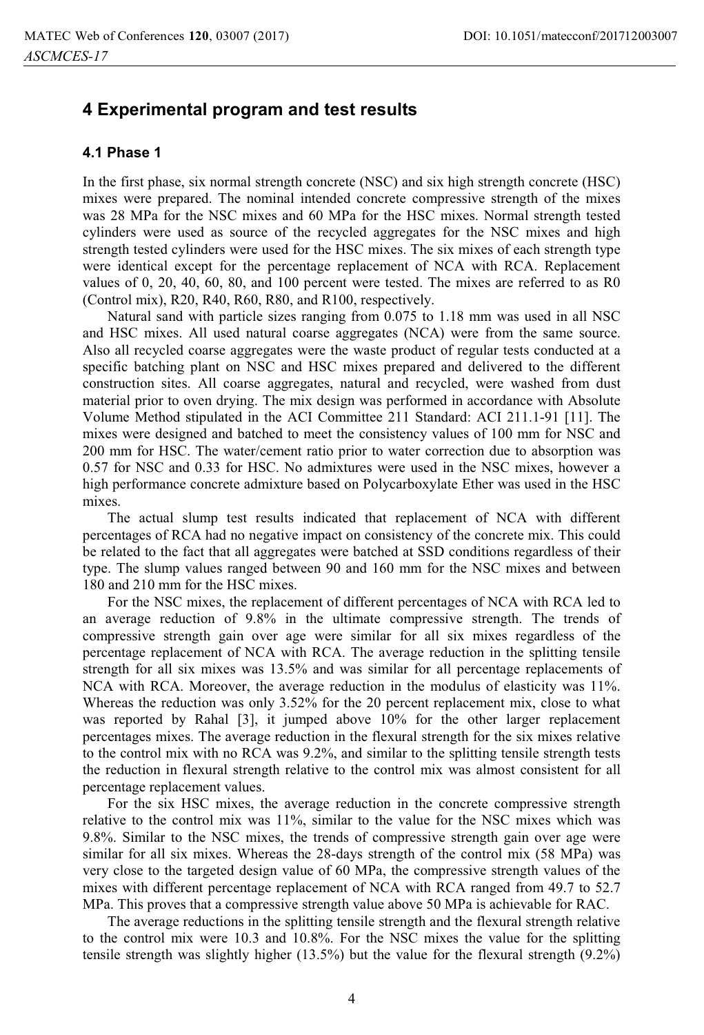## **4 Experimental program and test results**

#### **4.1 Phase 1**

In the first phase, six normal strength concrete (NSC) and six high strength concrete (HSC) mixes were prepared. The nominal intended concrete compressive strength of the mixes was 28 MPa for the NSC mixes and 60 MPa for the HSC mixes. Normal strength tested cylinders were used as source of the recycled aggregates for the NSC mixes and high strength tested cylinders were used for the HSC mixes. The six mixes of each strength type were identical except for the percentage replacement of NCA with RCA. Replacement values of 0, 20, 40, 60, 80, and 100 percent were tested. The mixes are referred to as R0 (Control mix), R20, R40, R60, R80, and R100, respectively.

 Natural sand with particle sizes ranging from 0.075 to 1.18 mm was used in all NSC and HSC mixes. All used natural coarse aggregates (NCA) were from the same source. Also all recycled coarse aggregates were the waste product of regular tests conducted at a specific batching plant on NSC and HSC mixes prepared and delivered to the different construction sites. All coarse aggregates, natural and recycled, were washed from dust material prior to oven drying. The mix design was performed in accordance with Absolute Volume Method stipulated in the ACI Committee 211 Standard: ACI 211.1-91 [11]. The mixes were designed and batched to meet the consistency values of 100 mm for NSC and 200 mm for HSC. The water/cement ratio prior to water correction due to absorption was 0.57 for NSC and 0.33 for HSC. No admixtures were used in the NSC mixes, however a high performance concrete admixture based on Polycarboxylate Ether was used in the HSC mixes.

 The actual slump test results indicated that replacement of NCA with different percentages of RCA had no negative impact on consistency of the concrete mix. This could be related to the fact that all aggregates were batched at SSD conditions regardless of their type. The slump values ranged between 90 and 160 mm for the NSC mixes and between 180 and 210 mm for the HSC mixes.

 For the NSC mixes, the replacement of different percentages of NCA with RCA led to an average reduction of 9.8% in the ultimate compressive strength. The trends of compressive strength gain over age were similar for all six mixes regardless of the percentage replacement of NCA with RCA. The average reduction in the splitting tensile strength for all six mixes was 13.5% and was similar for all percentage replacements of NCA with RCA. Moreover, the average reduction in the modulus of elasticity was 11%. Whereas the reduction was only 3.52% for the 20 percent replacement mix, close to what was reported by Rahal [3], it jumped above 10% for the other larger replacement percentages mixes. The average reduction in the flexural strength for the six mixes relative to the control mix with no RCA was 9.2%, and similar to the splitting tensile strength tests the reduction in flexural strength relative to the control mix was almost consistent for all percentage replacement values.

 For the six HSC mixes, the average reduction in the concrete compressive strength relative to the control mix was 11%, similar to the value for the NSC mixes which was 9.8%. Similar to the NSC mixes, the trends of compressive strength gain over age were similar for all six mixes. Whereas the 28-days strength of the control mix (58 MPa) was very close to the targeted design value of 60 MPa, the compressive strength values of the mixes with different percentage replacement of NCA with RCA ranged from 49.7 to 52.7 MPa. This proves that a compressive strength value above 50 MPa is achievable for RAC.

 The average reductions in the splitting tensile strength and the flexural strength relative to the control mix were 10.3 and 10.8%. For the NSC mixes the value for the splitting tensile strength was slightly higher (13.5%) but the value for the flexural strength (9.2%)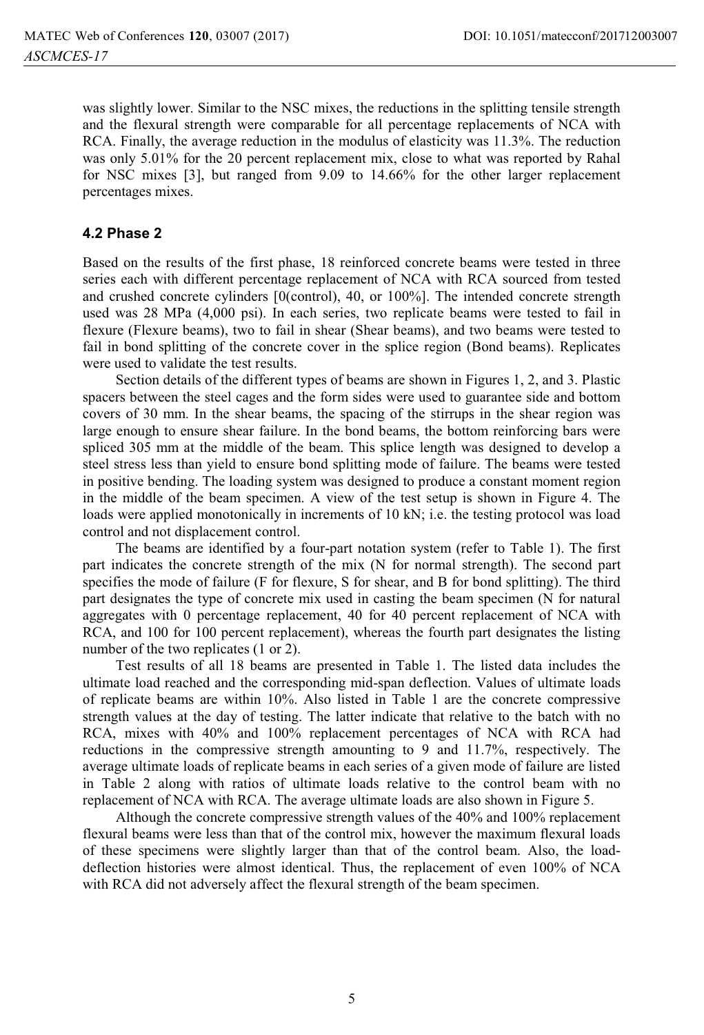was slightly lower. Similar to the NSC mixes, the reductions in the splitting tensile strength and the flexural strength were comparable for all percentage replacements of NCA with RCA. Finally, the average reduction in the modulus of elasticity was 11.3%. The reduction was only 5.01% for the 20 percent replacement mix, close to what was reported by Rahal for NSC mixes [3], but ranged from 9.09 to 14.66% for the other larger replacement percentages mixes.

### **4.2 Phase 2**

Based on the results of the first phase, 18 reinforced concrete beams were tested in three series each with different percentage replacement of NCA with RCA sourced from tested and crushed concrete cylinders [0(control), 40, or 100%]. The intended concrete strength used was 28 MPa (4,000 psi). In each series, two replicate beams were tested to fail in flexure (Flexure beams), two to fail in shear (Shear beams), and two beams were tested to fail in bond splitting of the concrete cover in the splice region (Bond beams). Replicates were used to validate the test results.

 Section details of the different types of beams are shown in Figures 1, 2, and 3. Plastic spacers between the steel cages and the form sides were used to guarantee side and bottom covers of 30 mm. In the shear beams, the spacing of the stirrups in the shear region was large enough to ensure shear failure. In the bond beams, the bottom reinforcing bars were spliced 305 mm at the middle of the beam. This splice length was designed to develop a steel stress less than yield to ensure bond splitting mode of failure. The beams were tested in positive bending. The loading system was designed to produce a constant moment region in the middle of the beam specimen. A view of the test setup is shown in Figure 4. The loads were applied monotonically in increments of 10 kN; i.e. the testing protocol was load control and not displacement control.

 The beams are identified by a four-part notation system (refer to Table 1). The first part indicates the concrete strength of the mix (N for normal strength). The second part specifies the mode of failure (F for flexure, S for shear, and B for bond splitting). The third part designates the type of concrete mix used in casting the beam specimen (N for natural aggregates with 0 percentage replacement, 40 for 40 percent replacement of NCA with RCA, and 100 for 100 percent replacement), whereas the fourth part designates the listing number of the two replicates (1 or 2).

 Test results of all 18 beams are presented in Table 1. The listed data includes the ultimate load reached and the corresponding mid-span deflection. Values of ultimate loads of replicate beams are within 10%. Also listed in Table 1 are the concrete compressive strength values at the day of testing. The latter indicate that relative to the batch with no RCA, mixes with 40% and 100% replacement percentages of NCA with RCA had reductions in the compressive strength amounting to 9 and 11.7%, respectively. The average ultimate loads of replicate beams in each series of a given mode of failure are listed in Table 2 along with ratios of ultimate loads relative to the control beam with no replacement of NCA with RCA. The average ultimate loads are also shown in Figure 5.

 Although the concrete compressive strength values of the 40% and 100% replacement flexural beams were less than that of the control mix, however the maximum flexural loads of these specimens were slightly larger than that of the control beam. Also, the loaddeflection histories were almost identical. Thus, the replacement of even 100% of NCA with RCA did not adversely affect the flexural strength of the beam specimen.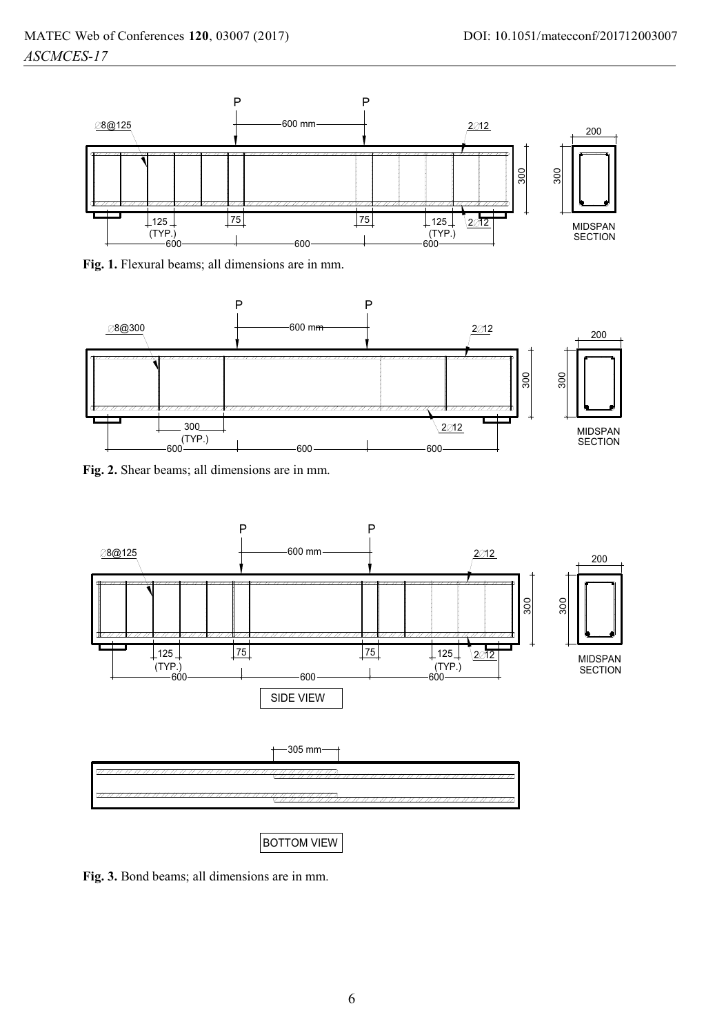

**Fig. 1.** Flexural beams; all dimensions are in mm.



**Fig. 2.** Shear beams; all dimensions are in mm.



**Fig. 3.** Bond beams; all dimensions are in mm.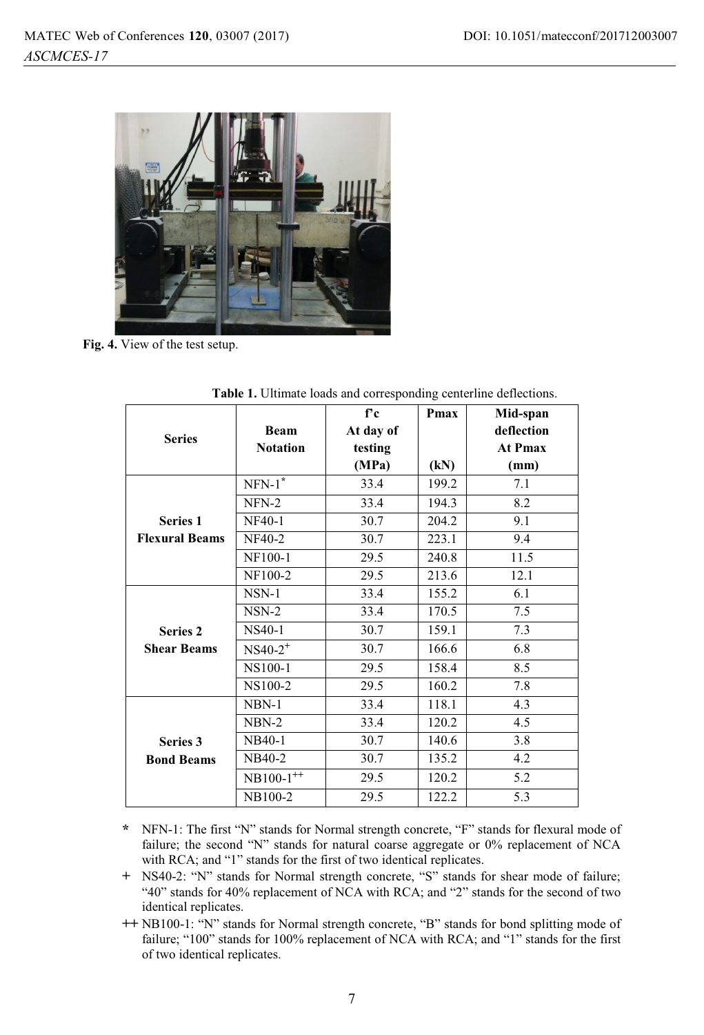

**Fig. 4.** View of the test setup.

|                       |                      | f'c       | Pmax  | Mid-span         |
|-----------------------|----------------------|-----------|-------|------------------|
| <b>Series</b>         | <b>Beam</b>          | At day of |       | deflection       |
|                       | <b>Notation</b>      | testing   |       | <b>At Pmax</b>   |
|                       |                      | (MPa)     | (kN)  | (mm)             |
|                       | $NFN-1$ <sup>*</sup> | 33.4      | 199.2 | 7.1              |
|                       | NFN-2                | 33.4      | 194.3 | 8.2              |
| <b>Series 1</b>       | NF40-1               | 30.7      | 204.2 | 9.1              |
| <b>Flexural Beams</b> | NF40-2               | 30.7      | 223.1 | 9.4              |
|                       | NF100-1              | 29.5      | 240.8 | 11.5             |
|                       | NF100-2              | 29.5      | 213.6 | 12.1             |
|                       | $NSN-1$              | 33.4      | 155.2 | 6.1              |
|                       | $NSN-2$              | 33.4      | 170.5 | 7.5              |
| <b>Series 2</b>       | <b>NS40-1</b>        | 30.7      | 159.1 | $\overline{7.3}$ |
| <b>Shear Beams</b>    | $NS40-2^+$           | 30.7      | 166.6 | 6.8              |
|                       | NS100-1              | 29.5      | 158.4 | 8.5              |
|                       | NS100-2              | 29.5      | 160.2 | 7.8              |
|                       | NBN-1                | 33.4      | 118.1 | 4.3              |
|                       | $NBN-2$              | 33.4      | 120.2 | 4.5              |
| Series 3              | NB40-1               | 30.7      | 140.6 | 3.8              |
| <b>Bond Beams</b>     | NB40-2               | 30.7      | 135.2 | 4.2              |
|                       | $NB100-1^{++}$       | 29.5      | 120.2 | 5.2              |
|                       | NB100-2              | 29.5      | 122.2 | 5.3              |

**Table 1.** Ultimate loads and corresponding centerline deflections.

**\*** NFN-1: The first "N" stands for Normal strength concrete, "F" stands for flexural mode of failure; the second "N" stands for natural coarse aggregate or 0% replacement of NCA with RCA; and "1" stands for the first of two identical replicates.

**+** NS40-2: "N" stands for Normal strength concrete, "S" stands for shear mode of failure; "40" stands for 40% replacement of NCA with RCA; and "2" stands for the second of two identical replicates.

**++** NB100-1: "N" stands for Normal strength concrete, "B" stands for bond splitting mode of failure; "100" stands for 100% replacement of NCA with RCA; and "1" stands for the first of two identical replicates.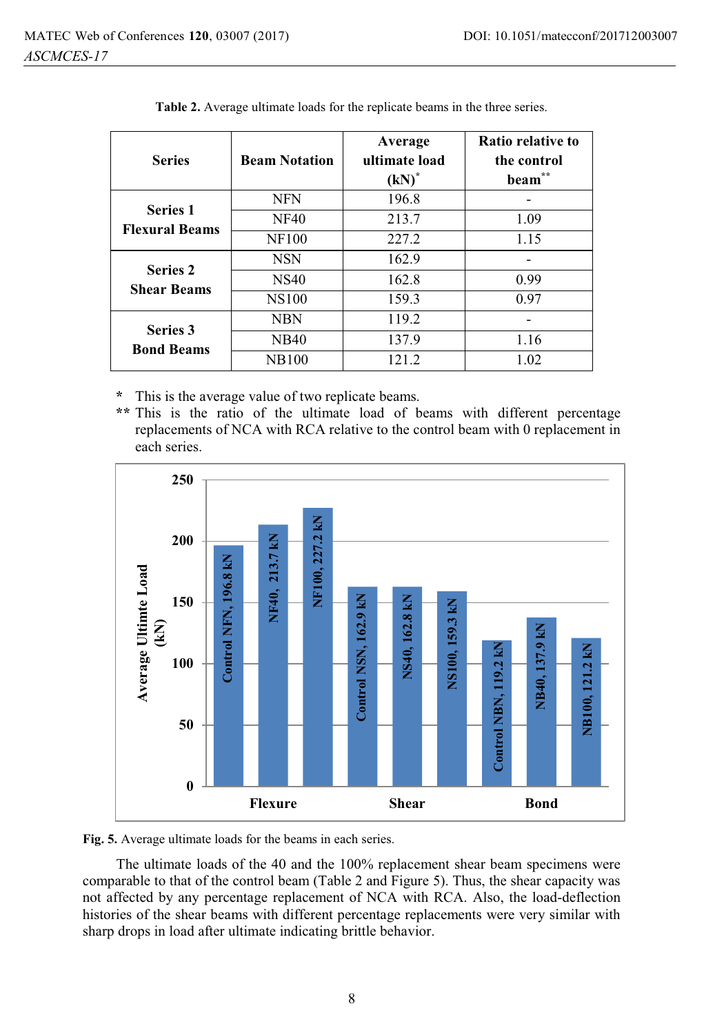| <b>Series</b>                            | <b>Beam Notation</b> | Average<br>ultimate load<br>$(kN)^*$ | Ratio relative to<br>the control<br>beam <sup>**</sup> |
|------------------------------------------|----------------------|--------------------------------------|--------------------------------------------------------|
| <b>Series 1</b><br><b>Flexural Beams</b> | <b>NFN</b>           | 196.8                                |                                                        |
|                                          | <b>NF40</b>          | 213.7                                | 1.09                                                   |
|                                          | <b>NF100</b>         | 227.2                                | 1.15                                                   |
| Series 2<br><b>Shear Beams</b>           | <b>NSN</b>           | 162.9                                |                                                        |
|                                          | <b>NS40</b>          | 162.8                                | 0.99                                                   |
|                                          | <b>NS100</b>         | 159.3                                | 0.97                                                   |
| Series 3<br><b>Bond Beams</b>            | <b>NBN</b>           | 119.2                                |                                                        |
|                                          | <b>NB40</b>          | 137.9                                | 1.16                                                   |
|                                          | <b>NB100</b>         | 121.2                                | 1.02                                                   |

**Table 2.** Average ultimate loads for the replicate beams in the three series.

- **\*** This is the average value of two replicate beams.
- **\*\*** This is the ratio of the ultimate load of beams with different percentage replacements of NCA with RCA relative to the control beam with 0 replacement in each series.





The ultimate loads of the 40 and the 100% replacement shear beam specimens were comparable to that of the control beam (Table 2 and Figure 5). Thus, the shear capacity was not affected by any percentage replacement of NCA with RCA. Also, the load-deflection histories of the shear beams with different percentage replacements were very similar with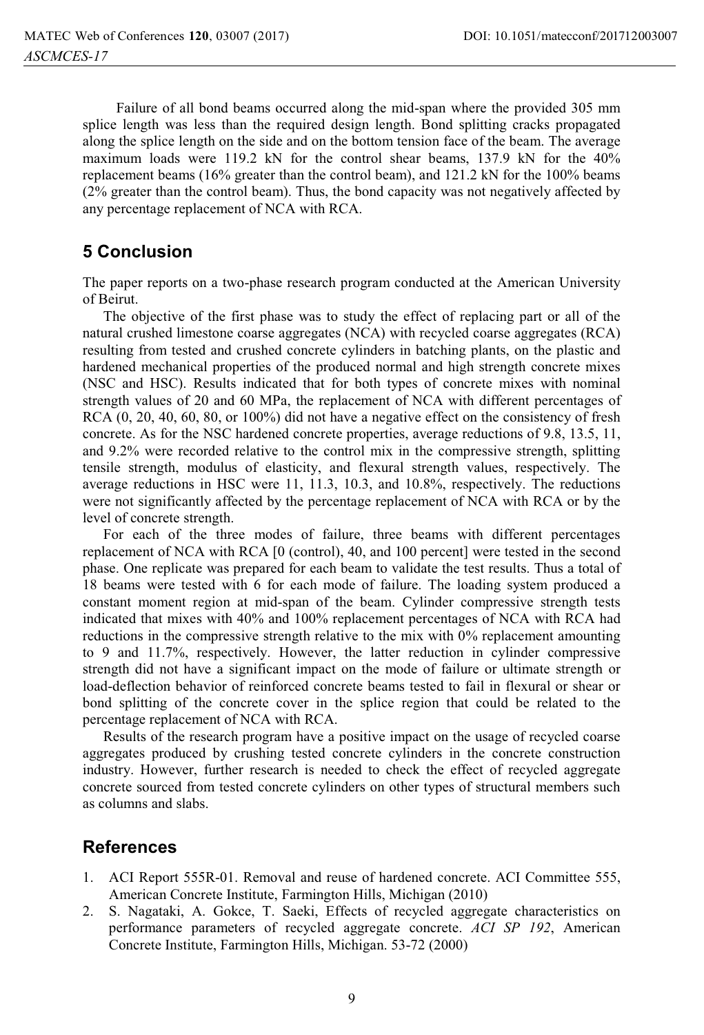Failure of all bond beams occurred along the mid-span where the provided 305 mm splice length was less than the required design length. Bond splitting cracks propagated along the splice length on the side and on the bottom tension face of the beam. The average maximum loads were 119.2 kN for the control shear beams, 137.9 kN for the 40% replacement beams (16% greater than the control beam), and 121.2 kN for the 100% beams (2% greater than the control beam). Thus, the bond capacity was not negatively affected by any percentage replacement of NCA with RCA.

# **5 Conclusion**

The paper reports on a two-phase research program conducted at the American University of Beirut.

The objective of the first phase was to study the effect of replacing part or all of the natural crushed limestone coarse aggregates (NCA) with recycled coarse aggregates (RCA) resulting from tested and crushed concrete cylinders in batching plants, on the plastic and hardened mechanical properties of the produced normal and high strength concrete mixes (NSC and HSC). Results indicated that for both types of concrete mixes with nominal strength values of 20 and 60 MPa, the replacement of NCA with different percentages of RCA  $(0, 20, 40, 60, 80, 0$  or  $100\%$ ) did not have a negative effect on the consistency of fresh concrete. As for the NSC hardened concrete properties, average reductions of 9.8, 13.5, 11, and 9.2% were recorded relative to the control mix in the compressive strength, splitting tensile strength, modulus of elasticity, and flexural strength values, respectively. The average reductions in HSC were 11, 11.3, 10.3, and 10.8%, respectively. The reductions were not significantly affected by the percentage replacement of NCA with RCA or by the level of concrete strength.

For each of the three modes of failure, three beams with different percentages replacement of NCA with RCA [0 (control), 40, and 100 percent] were tested in the second phase. One replicate was prepared for each beam to validate the test results. Thus a total of 18 beams were tested with 6 for each mode of failure. The loading system produced a constant moment region at mid-span of the beam. Cylinder compressive strength tests indicated that mixes with 40% and 100% replacement percentages of NCA with RCA had reductions in the compressive strength relative to the mix with 0% replacement amounting to 9 and 11.7%, respectively. However, the latter reduction in cylinder compressive strength did not have a significant impact on the mode of failure or ultimate strength or load-deflection behavior of reinforced concrete beams tested to fail in flexural or shear or bond splitting of the concrete cover in the splice region that could be related to the percentage replacement of NCA with RCA.

Results of the research program have a positive impact on the usage of recycled coarse aggregates produced by crushing tested concrete cylinders in the concrete construction industry. However, further research is needed to check the effect of recycled aggregate concrete sourced from tested concrete cylinders on other types of structural members such as columns and slabs.

## **References**

- 1. ACI Report 555R-01. Removal and reuse of hardened concrete. ACI Committee 555, American Concrete Institute, Farmington Hills, Michigan (2010)
- 2. S. Nagataki, A. Gokce, T. Saeki, Effects of recycled aggregate characteristics on performance parameters of recycled aggregate concrete. *ACI SP 192*, American Concrete Institute, Farmington Hills, Michigan. 53-72 (2000)